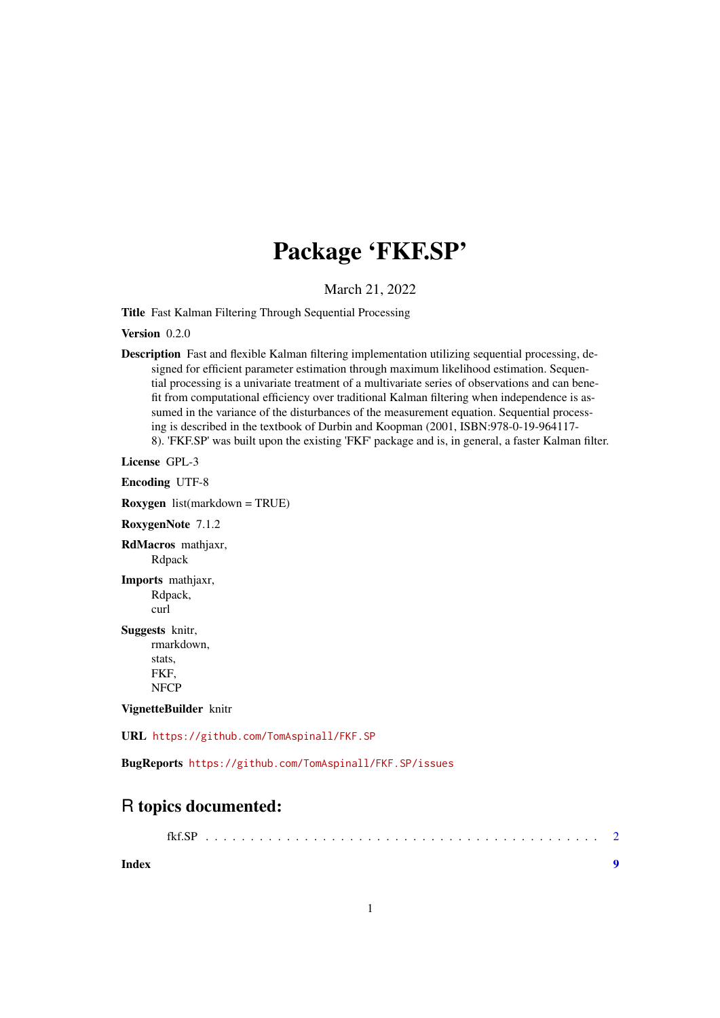## Package 'FKF.SP'

March 21, 2022

Title Fast Kalman Filtering Through Sequential Processing

Version 0.2.0

Description Fast and flexible Kalman filtering implementation utilizing sequential processing, designed for efficient parameter estimation through maximum likelihood estimation. Sequential processing is a univariate treatment of a multivariate series of observations and can benefit from computational efficiency over traditional Kalman filtering when independence is assumed in the variance of the disturbances of the measurement equation. Sequential processing is described in the textbook of Durbin and Koopman (2001, ISBN:978-0-19-964117- 8). 'FKF.SP' was built upon the existing 'FKF' package and is, in general, a faster Kalman filter.

License GPL-3

Encoding UTF-8

Roxygen list(markdown = TRUE)

RoxygenNote 7.1.2

RdMacros mathjaxr, Rdpack

Imports mathjaxr, Rdpack, curl

Suggests knitr,

rmarkdown, stats, FKF, NFCP

VignetteBuilder knitr

URL <https://github.com/TomAspinall/FKF.SP>

BugReports <https://github.com/TomAspinall/FKF.SP/issues>

### R topics documented:

| Index |  |
|-------|--|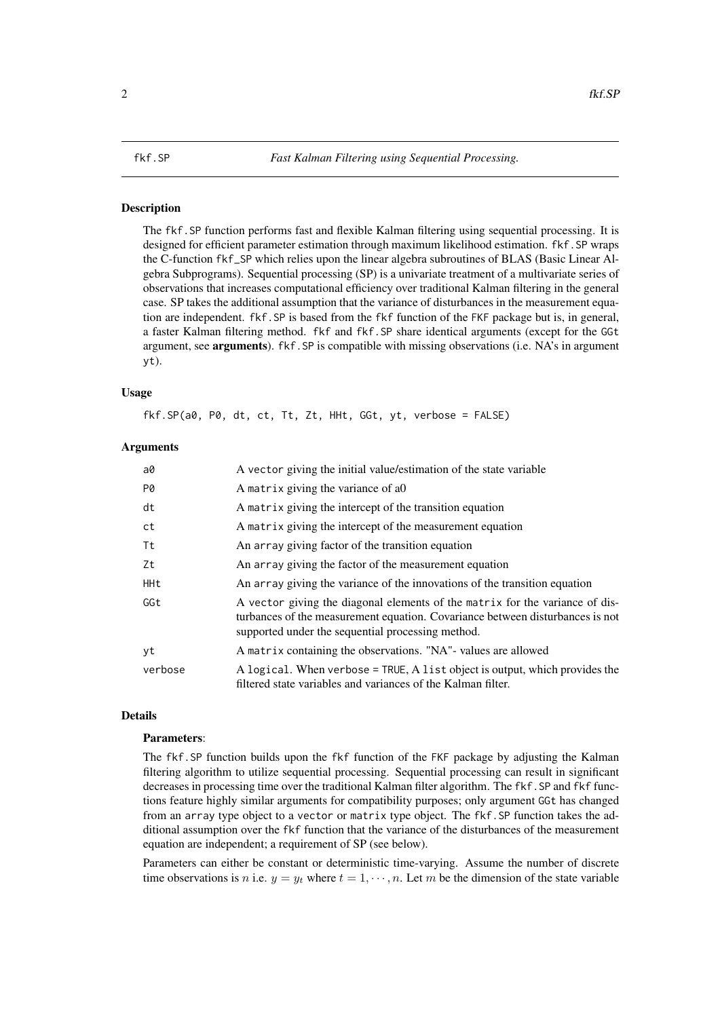#### <span id="page-1-0"></span>Description

The fkf.SP function performs fast and flexible Kalman filtering using sequential processing. It is designed for efficient parameter estimation through maximum likelihood estimation. fkf. SP wraps the C-function fkf\_SP which relies upon the linear algebra subroutines of BLAS (Basic Linear Algebra Subprograms). Sequential processing (SP) is a univariate treatment of a multivariate series of observations that increases computational efficiency over traditional Kalman filtering in the general case. SP takes the additional assumption that the variance of disturbances in the measurement equation are independent. fkf.SP is based from the fkf function of the FKF package but is, in general, a faster Kalman filtering method. fkf and fkf.SP share identical arguments (except for the GGt argument, see arguments). fkf.SP is compatible with missing observations (i.e. NA's in argument yt).

#### Usage

fkf.SP(a0, P0, dt, ct, Tt, Zt, HHt, GGt, yt, verbose = FALSE)

#### Arguments

| a0      | A vector giving the initial value/estimation of the state variable                                                                                                                                                 |
|---------|--------------------------------------------------------------------------------------------------------------------------------------------------------------------------------------------------------------------|
| P0      | A matrix giving the variance of a0                                                                                                                                                                                 |
| dt      | A matrix giving the intercept of the transition equation                                                                                                                                                           |
| ct      | A matrix giving the intercept of the measurement equation                                                                                                                                                          |
| Τt      | An array giving factor of the transition equation                                                                                                                                                                  |
| Zt      | An array giving the factor of the measurement equation                                                                                                                                                             |
| HHt     | An array giving the variance of the innovations of the transition equation                                                                                                                                         |
| GGt     | A vector giving the diagonal elements of the matrix for the variance of dis-<br>turbances of the measurement equation. Covariance between disturbances is not<br>supported under the sequential processing method. |
| yt      | A matrix containing the observations. "NA"- values are allowed                                                                                                                                                     |
| verbose | A logical. When verbose = TRUE, A list object is output, which provides the<br>filtered state variables and variances of the Kalman filter.                                                                        |

#### Details

#### Parameters:

The fkf.SP function builds upon the fkf function of the FKF package by adjusting the Kalman filtering algorithm to utilize sequential processing. Sequential processing can result in significant decreases in processing time over the traditional Kalman filter algorithm. The fkf. SP and fkf functions feature highly similar arguments for compatibility purposes; only argument GGt has changed from an array type object to a vector or matrix type object. The fkf.SP function takes the additional assumption over the fkf function that the variance of the disturbances of the measurement equation are independent; a requirement of SP (see below).

Parameters can either be constant or deterministic time-varying. Assume the number of discrete time observations is n i.e.  $y = y_t$  where  $t = 1, \dots, n$ . Let m be the dimension of the state variable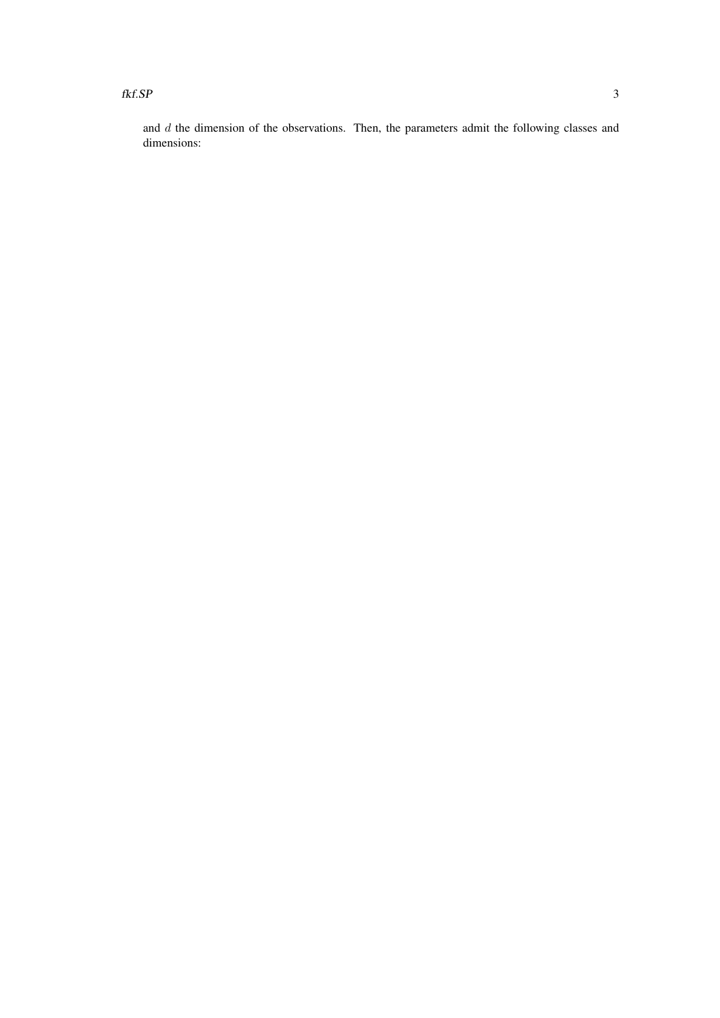$fkf.S.P$  3

and d the dimension of the observations. Then, the parameters admit the following classes and dimensions: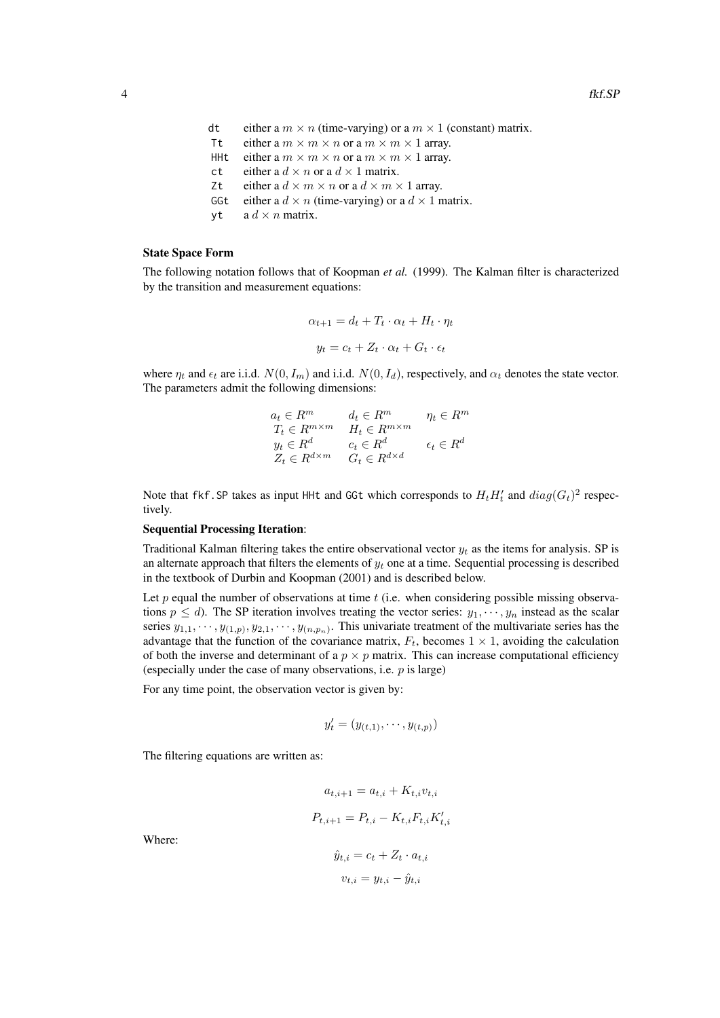- dt either a  $m \times n$  (time-varying) or a  $m \times 1$  (constant) matrix.
- Tt either a  $m \times m \times n$  or a  $m \times m \times 1$  array.
- HHt either a  $m \times m \times n$  or a  $m \times m \times 1$  array.
- ct either a  $d \times n$  or a  $d \times 1$  matrix.
- Zt either a  $d \times m \times n$  or a  $d \times m \times 1$  array.
- GGt either a  $d \times n$  (time-varying) or a  $d \times 1$  matrix.
- yt a  $d \times n$  matrix.

#### State Space Form

The following notation follows that of Koopman *et al.* (1999). The Kalman filter is characterized by the transition and measurement equations:

$$
\alpha_{t+1} = d_t + T_t \cdot \alpha_t + H_t \cdot \eta_t
$$

$$
y_t = c_t + Z_t \cdot \alpha_t + G_t \cdot \epsilon_t
$$

where  $\eta_t$  and  $\epsilon_t$  are i.i.d.  $N(0, I_m)$  and i.i.d.  $N(0, I_d)$ , respectively, and  $\alpha_t$  denotes the state vector. The parameters admit the following dimensions:

$$
a_t \in R^m \qquad d_t \in R^m \qquad \eta_t \in R^m
$$
  
\n
$$
T_t \in R^{m \times m} \qquad H_t \in R^{m \times m} \qquad \qquad
$$
  
\n
$$
y_t \in R^d \qquad c_t \in R^d \qquad \qquad \epsilon_t \in R^d
$$
  
\n
$$
Z_t \in R^{d \times m} \qquad G_t \in R^{d \times d}
$$

Note that fkf. SP takes as input HHt and GGt which corresponds to  $H_t H_t'$  and  $diag(G_t)^2$  respectively.

#### Sequential Processing Iteration:

Traditional Kalman filtering takes the entire observational vector  $y_t$  as the items for analysis. SP is an alternate approach that filters the elements of  $y_t$  one at a time. Sequential processing is described in the textbook of Durbin and Koopman (2001) and is described below.

Let p equal the number of observations at time  $t$  (i.e. when considering possible missing observations  $p \le d$ ). The SP iteration involves treating the vector series:  $y_1, \dots, y_n$  instead as the scalar series  $y_{1,1}, \dots, y_{(1,p)}, y_{2,1}, \dots, y_{(n,p_n)}$ . This univariate treatment of the multivariate series has the advantage that the function of the covariance matrix,  $F_t$ , becomes  $1 \times 1$ , avoiding the calculation of both the inverse and determinant of a  $p \times p$  matrix. This can increase computational efficiency (especially under the case of many observations, i.e.  $p$  is large)

For any time point, the observation vector is given by:

$$
y'_{t} = (y_{(t,1)}, \cdots, y_{(t,p)})
$$

The filtering equations are written as:

$$
a_{t,i+1} = a_{t,i} + K_{t,i}v_{t,i}
$$

$$
P_{t,i+1} = P_{t,i} - K_{t,i}F_{t,i}K'_{t,i}
$$

$$
\hat{y}_{t,i} = c_t + Z_t \cdot a_{t,i}
$$

Where:

$$
\hat{y}_{t,i} = c_t + Z_t \cdot a_{t,i}
$$

$$
v_{t,i} = y_{t,i} - \hat{y}_{t,i}
$$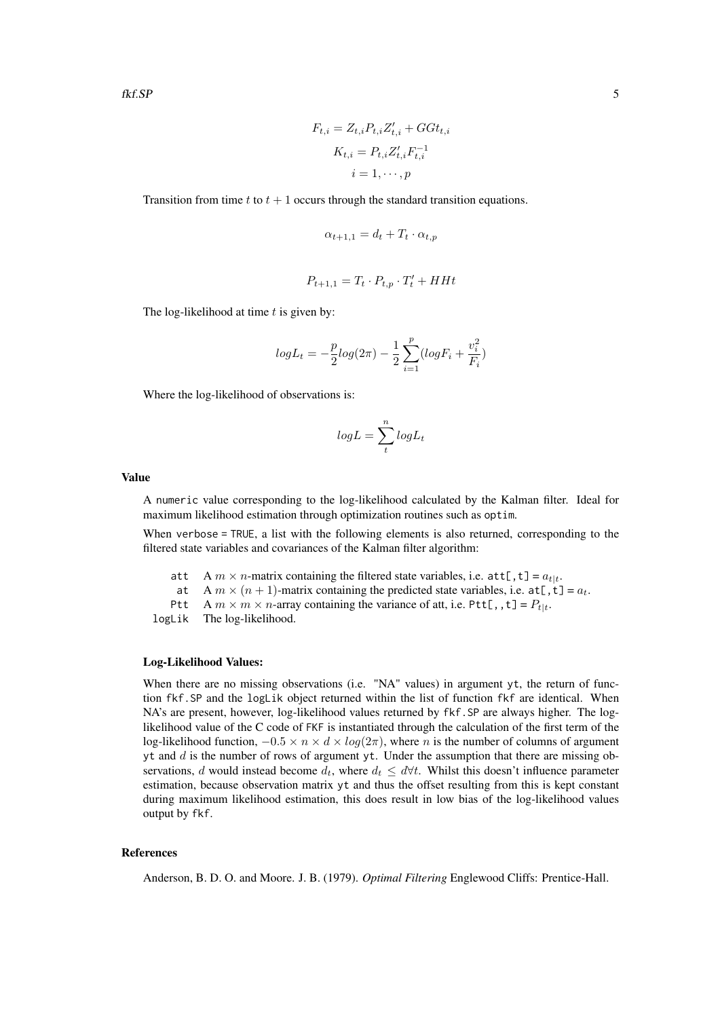$$
F_{t,i} = Z_{t,i} P_{t,i} Z'_{t,i} + G G t_{t,i}
$$

$$
K_{t,i} = P_{t,i} Z'_{t,i} F^{-1}_{t,i}
$$

$$
i = 1, \dots, p
$$

Transition from time t to  $t + 1$  occurs through the standard transition equations.

$$
\alpha_{t+1,1} = d_t + T_t \cdot \alpha_{t,p}
$$

$$
P_{t+1,1} = T_t \cdot P_{t,p} \cdot T'_t + H H t
$$

The log-likelihood at time  $t$  is given by:

$$
log L_t = -\frac{p}{2} log(2\pi) - \frac{1}{2} \sum_{i=1}^{p} (log F_i + \frac{v_i^2}{F_i})
$$

Where the log-likelihood of observations is:

$$
logL = \sum_{t}^{n} logL_t
$$

#### Value

A numeric value corresponding to the log-likelihood calculated by the Kalman filter. Ideal for maximum likelihood estimation through optimization routines such as optim.

When verbose = TRUE, a list with the following elements is also returned, corresponding to the filtered state variables and covariances of the Kalman filter algorithm:

- att A  $m \times n$ -matrix containing the filtered state variables, i.e.  $\text{att}[t, t] = a_{t|t}$ .
- at A  $m \times (n + 1)$ -matrix containing the predicted state variables, i.e. at [, t] =  $a_t$ .
- Ptt A  $m \times m \times n$ -array containing the variance of att, i.e. Ptt[,,,t] =  $P_{t|t}$ .

logLik The log-likelihood.

#### Log-Likelihood Values:

When there are no missing observations (i.e. "NA" values) in argument yt, the return of function fkf.SP and the logLik object returned within the list of function fkf are identical. When NA's are present, however, log-likelihood values returned by fkf.SP are always higher. The loglikelihood value of the C code of FKF is instantiated through the calculation of the first term of the log-likelihood function,  $-0.5 \times n \times d \times log(2\pi)$ , where *n* is the number of columns of argument yt and  $d$  is the number of rows of argument yt. Under the assumption that there are missing observations, d would instead become  $d_t$ , where  $d_t \leq d \forall t$ . Whilst this doesn't influence parameter estimation, because observation matrix yt and thus the offset resulting from this is kept constant during maximum likelihood estimation, this does result in low bias of the log-likelihood values output by fkf.

#### References

Anderson, B. D. O. and Moore. J. B. (1979). *Optimal Filtering* Englewood Cliffs: Prentice-Hall.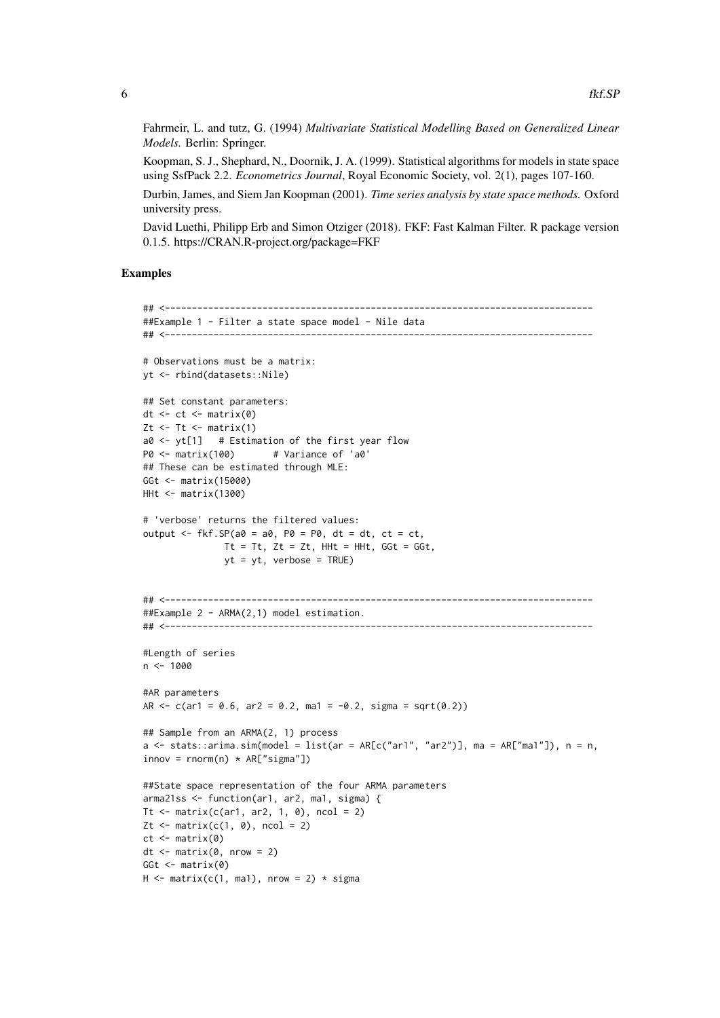Fahrmeir, L. and tutz, G. (1994) *Multivariate Statistical Modelling Based on Generalized Linear Models.* Berlin: Springer.

Koopman, S. J., Shephard, N., Doornik, J. A. (1999). Statistical algorithms for models in state space using SsfPack 2.2. *Econometrics Journal*, Royal Economic Society, vol. 2(1), pages 107-160.

Durbin, James, and Siem Jan Koopman (2001). *Time series analysis by state space methods.* Oxford university press.

David Luethi, Philipp Erb and Simon Otziger (2018). FKF: Fast Kalman Filter. R package version 0.1.5. https://CRAN.R-project.org/package=FKF

#### Examples

```
## <-------------------------------------------------------------------------------
##Example 1 - Filter a state space model - Nile data
## <-------------------------------------------------------------------------------
# Observations must be a matrix:
yt <- rbind(datasets::Nile)
## Set constant parameters:
dt \le- ct \le- matrix(0)
Zt \leftarrow Tt \leftarrow matrix(1)
a0 <- yt[1] # Estimation of the first year flow
P0 <- matrix(100) # Variance of 'a0'
## These can be estimated through MLE:
GGt <- matrix(15000)
HHt <- matrix(1300)
# 'verbose' returns the filtered values:
output \leq fkf. SP(a0 = a0, P0 = P0, dt = dt, ct = ct,
               Tt = Tt, Zt = Zt, HHt = HHt, GGt = GGt,
               yt = yt, verbose = TRUE)
## <-------------------------------------------------------------------------------
##Example 2 - ARMA(2,1) model estimation.
## <-------------------------------------------------------------------------------
#Length of series
n < -1000#AR parameters
AR <-c(ar1 = 0.6, ar2 = 0.2, ma1 = -0.2, sigma = sqrt(0.2))## Sample from an ARMA(2, 1) process
a \le stats::arima.sim(model = list(ar = AR[c("ar1", "ar2")], ma = AR["ma1"]), n = n,
innov = rnorm(n) * AR['sigma"]##State space representation of the four ARMA parameters
arma21ss <- function(ar1, ar2, ma1, sigma) {
Tt \le matrix(c(ar1, ar2, 1, 0), ncol = 2)
Zt \leq matrix(c(1, 0), ncol = 2)
ct \leftarrow matrix(0)dt \leq matrix(0, nrow = 2)
GGt \leftarrow matrix(0)
H \leq - matrix(c(1, ma1), nrow = 2) * sigma
```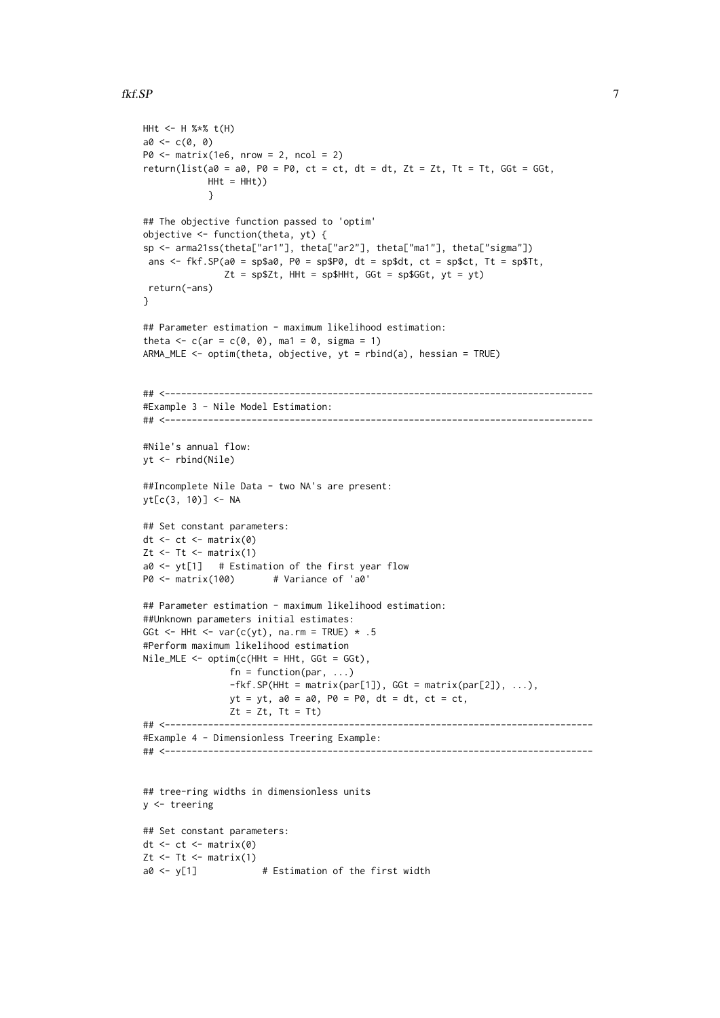#### fkf.SP

```
HHt <- H %*% t(H)
a0 < -c(0, 0)P0 \leq - matrix(1e6, nrow = 2, ncol = 2)
return(list(a0 = a0, P0 = P0, ct = ct, dt = dt, Zt = Zt, Tt = Tt, GGt = GGt,
            HHt = HHt))
            }
## The objective function passed to 'optim'
objective \leq function(theta, yt) {
sp <- arma21ss(theta["ar1"], theta["ar2"], theta["ma1"], theta["sigma"])
ans \leq fkf.SP(a0 = sp$a0, P0 = sp$P0, dt = sp$dt, ct = sp$ct, Tt = sp$Tt,
               Zt = sp$Zt, HHt = sp$HHt, Ggt = sp$GGt, yt = yt)
return(-ans)
}
## Parameter estimation - maximum likelihood estimation:
theta \leq c (ar = c(0, 0), ma1 = 0, sigma = 1)
ARMA_MLE \leq optim(theta, objective, yt = rbind(a), hessian = TRUE)
## <-------------------------------------------------------------------------------
#Example 3 - Nile Model Estimation:
## <-------------------------------------------------------------------------------
#Nile's annual flow:
yt <- rbind(Nile)
##Incomplete Nile Data - two NA's are present:
yt[c(3, 10)] <- NA
## Set constant parameters:
dt \leq ct \leq matrix(0)
Zt \le- Tt \le- matrix(1)
a0 \leftarrow yt[1] # Estimation of the first year flow
P0 <- matrix(100) # Variance of 'a0'
## Parameter estimation - maximum likelihood estimation:
##Unknown parameters initial estimates:
GGt \leq HHt \leq var(c(yt), na.rm = TRUE) \star .5
#Perform maximum likelihood estimation
Nile_MLE \leq output optim(c(HHt = HHt, GGt = GGt),
                fn = function(par, ...)-fkf.SP(HHt = matrix(par[1]), GGt = matrix(par[2]), ...,yt = yt, a0 = a0, PQ = PQ, dt = dt, ct = ct,Zt = Zt, Tt = Tt## <-------------------------------------------------------------------------------
#Example 4 - Dimensionless Treering Example:
## <-------------------------------------------------------------------------------
## tree-ring widths in dimensionless units
y <- treering
## Set constant parameters:
dt \le- ct \le- matrix(0)
Zt <- Tt <- matrix(1)
a0 \le y[1] # Estimation of the first width
```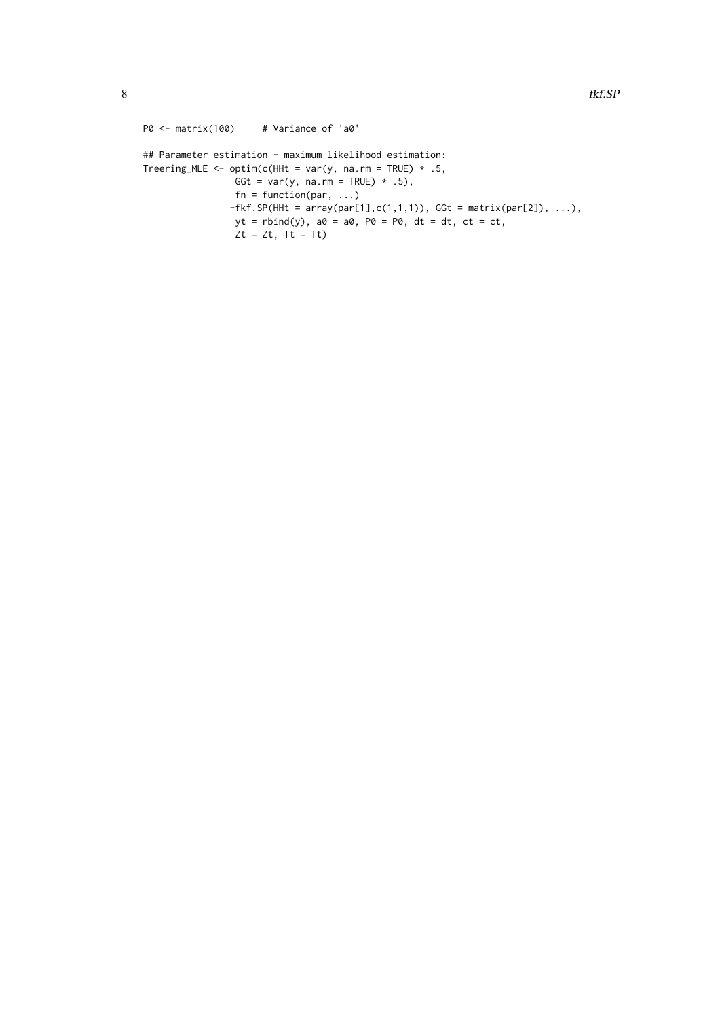```
P0 <- matrix(100) # Variance of 'a0'
## Parameter estimation - maximum likelihood estimation:
Treering_MLE <- optim(c(HHt = var(y, na.rm = TRUE) * .5,
                GGt = var(y, na.rm = TRUE) \star .5),
                fn = function(par, \ldots)-fkf.SP(HHt = array(par[1], c(1,1,1)), GGt = matrix(par[2]), ...,),yt = rbind(y), a0 = a0, P0 = P0, dt = dt, ct = ct,
                Zt = Zt, Tt = Tt
```